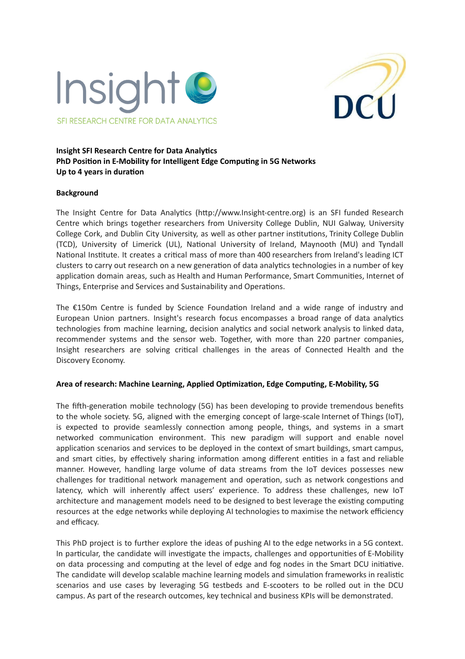



# **Insight SFI Research Centre for Data Analytics PhD** Position in E-Mobility for Intelligent Edge Computing in 5G Networks **Up** to 4 years in duration

## **Background**

The Insight Centre for Data Analytics (http://www.Insight-centre.org) is an SFI funded Research Centre which brings together researchers from University College Dublin, NUI Galway, University College Cork, and Dublin City University, as well as other partner institutions, Trinity College Dublin (TCD), University of Limerick (UL), National University of Ireland, Maynooth (MU) and Tyndall National Institute. It creates a critical mass of more than 400 researchers from Ireland's leading ICT clusters to carry out research on a new generation of data analytics technologies in a number of key application domain areas, such as Health and Human Performance, Smart Communities, Internet of Things, Enterprise and Services and Sustainability and Operations.

The  $£150m$  Centre is funded by Science Foundation Ireland and a wide range of industry and European Union partners. Insight's research focus encompasses a broad range of data analytics technologies from machine learning, decision analytics and social network analysis to linked data, recommender systems and the sensor web. Together, with more than 220 partner companies, Insight researchers are solving critical challenges in the areas of Connected Health and the Discovery Economy.

### **Area of research: Machine Learning, Applied Opmizaon, Edge Compung, E-Mobility, 5G**

The fifth-generation mobile technology (5G) has been developing to provide tremendous benefits to the whole society. 5G, aligned with the emerging concept of large-scale Internet of Things (IoT), is expected to provide seamlessly connection among people, things, and systems in a smart networked communication environment. This new paradigm will support and enable novel application scenarios and services to be deployed in the context of smart buildings, smart campus, and smart cities, by effectively sharing information among different entities in a fast and reliable manner. However, handling large volume of data streams from the IoT devices possesses new challenges for traditional network management and operation, such as network congestions and latency, which will inherently affect users' experience. To address these challenges, new IoT architecture and management models need to be designed to best leverage the existing computing resources at the edge networks while deploying AI technologies to maximise the network efficiency and efficacy.

This PhD project is to further explore the ideas of pushing AI to the edge networks in a 5G context. In particular, the candidate will investigate the impacts, challenges and opportunities of E-Mobility on data processing and computing at the level of edge and fog nodes in the Smart DCU initiative. The candidate will develop scalable machine learning models and simulation frameworks in realistic scenarios and use cases by leveraging 5G testbeds and E-scooters to be rolled out in the DCU campus. As part of the research outcomes, key technical and business KPIs will be demonstrated.